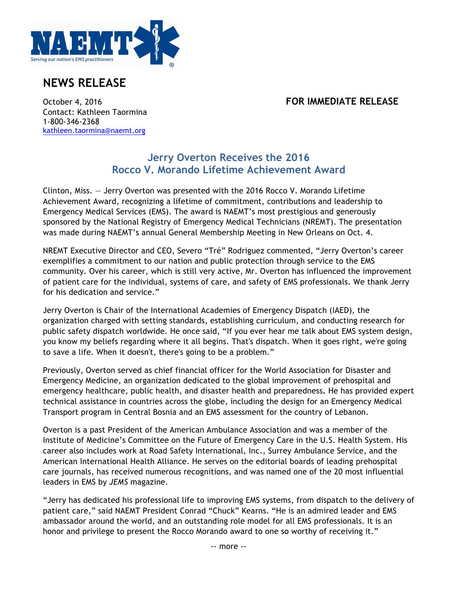

## **NEWS RELEASE**

## October 4, 2016 **FOR IMMEDIATE RELEASE**

Contact: Kathleen Taormina 1-800-346-2368 kathleen.taormina@naemt.org

## **Jerry Overton Receives the 2016 Rocco V. Morando Lifetime Achievement Award**

Clinton, Miss. — Jerry Overton was presented with the 2016 Rocco V. Morando Lifetime Achievement Award, recognizing a lifetime of commitment, contributions and leadership to Emergency Medical Services (EMS). The award is NAEMT's most prestigious and generously sponsored by the National Registry of Emergency Medical Technicians (NREMT). The presentation was made during NAEMT's annual General Membership Meeting in New Orleans on Oct. 4.

NREMT Executive Director and CEO, Severo "Tré" Rodriguez commented, "Jerry Overton's career exemplifies a commitment to our nation and public protection through service to the EMS community. Over his career, which is still very active, Mr. Overton has influenced the improvement of patient care for the individual, systems of care, and safety of EMS professionals. We thank Jerry for his dedication and service."

Jerry Overton is Chair of the International Academies of Emergency Dispatch (IAED), the organization charged with setting standards, establishing curriculum, and conducting research for public safety dispatch worldwide. He once said, "If you ever hear me talk about EMS system design, you know my beliefs regarding where it all begins. That's dispatch. When it goes right, we're going to save a life. When it doesn't, there's going to be a problem."

Previously, Overton served as chief financial officer for the World Association for Disaster and Emergency Medicine, an organization dedicated to the global improvement of prehospital and emergency healthcare, public health, and disaster health and preparedness**.** He has provided expert technical assistance in countries across the globe, including the design for an Emergency Medical Transport program in Central Bosnia and an EMS assessment for the country of Lebanon.

Overton is a past President of the American Ambulance Association and was a member of the Institute of Medicine's Committee on the Future of Emergency Care in the U.S. Health System. His career also includes work at Road Safety International, Inc., Surrey Ambulance Service, and the American International Health Alliance. He serves on the editorial boards of leading prehospital care journals, has received numerous recognitions, and was named one of the 20 most influential leaders in EMS by *JEMS* magazine.

"Jerry has dedicated his professional life to improving EMS systems, from dispatch to the delivery of patient care," said NAEMT President Conrad "Chuck" Kearns. "He is an admired leader and EMS ambassador around the world, and an outstanding role model for all EMS professionals. It is an honor and privilege to present the Rocco Morando award to one so worthy of receiving it."